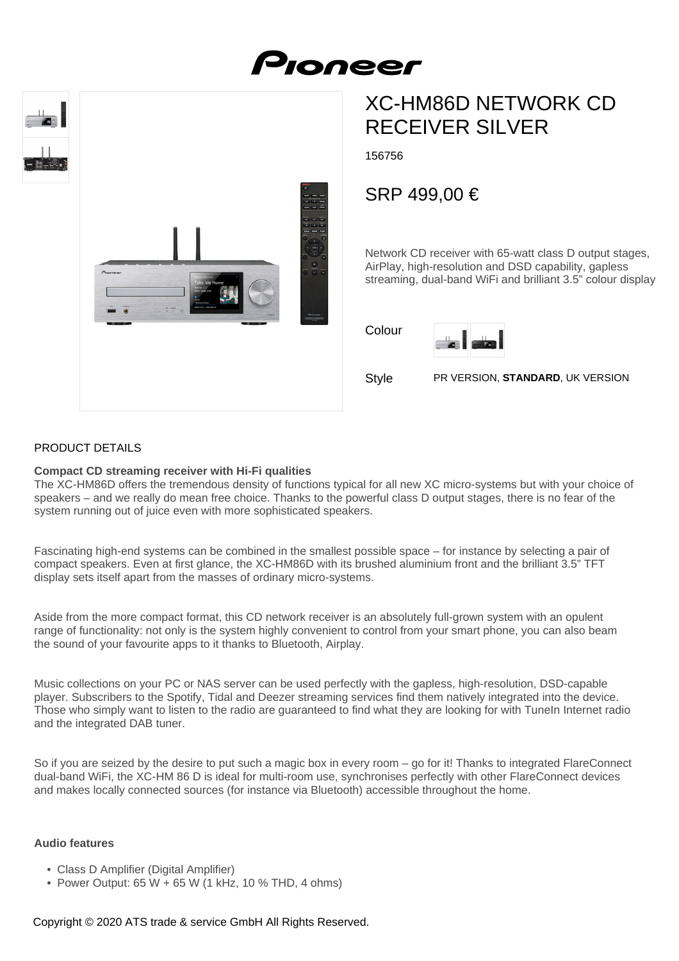

# XC-HM86D NETWORK CD RECEIVER SILVER

156756

Pronee

# SRP 499,00 €

Network CD receiver with 65-watt class D output stages, AirPlay, high-resolution and DSD capability, gapless streaming, dual-band WiFi and brilliant 3.5" colour display

Colour



Style PR VERSION, **STANDARD**, UK VERSION

# PRODUCT DETAILS

#### **Compact CD streaming receiver with Hi-Fi qualities**

The XC-HM86D offers the tremendous density of functions typical for all new XC micro-systems but with your choice of speakers – and we really do mean free choice. Thanks to the powerful class D output stages, there is no fear of the system running out of juice even with more sophisticated speakers.

Fascinating high-end systems can be combined in the smallest possible space – for instance by selecting a pair of compact speakers. Even at first glance, the XC-HM86D with its brushed aluminium front and the brilliant 3.5" TFT display sets itself apart from the masses of ordinary micro-systems.

Aside from the more compact format, this CD network receiver is an absolutely full-grown system with an opulent range of functionality: not only is the system highly convenient to control from your smart phone, you can also beam the sound of your favourite apps to it thanks to Bluetooth, Airplay.

Music collections on your PC or NAS server can be used perfectly with the gapless, high-resolution, DSD-capable player. Subscribers to the Spotify, Tidal and Deezer streaming services find them natively integrated into the device. Those who simply want to listen to the radio are guaranteed to find what they are looking for with TuneIn Internet radio and the integrated DAB tuner.

So if you are seized by the desire to put such a magic box in every room – go for it! Thanks to integrated FlareConnect dual-band WiFi, the XC-HM 86 D is ideal for multi-room use, synchronises perfectly with other FlareConnect devices and makes locally connected sources (for instance via Bluetooth) accessible throughout the home.

#### **Audio features**

- Class D Amplifier (Digital Amplifier)
- Power Output:  $65 \text{ W} + 65 \text{ W}$  (1 kHz, 10 % THD, 4 ohms)

Copyright © 2020 ATS trade & service GmbH All Rights Reserved.